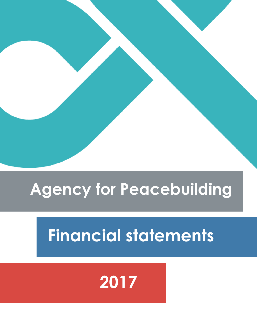#### **Agency for Peacebuilding**

## **Financial statements**

## **2017**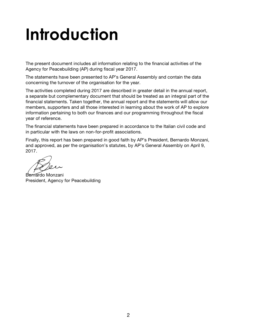## **Introduction**

The present document includes all information relating to the financial activities of the Agency for Peacebuilding (AP) during fiscal year 2017.

The statements have been presented to AP's General Assembly and contain the data concerning the turnover of the organisation for the year.

The activities completed during 2017 are described in greater detail in the annual report, a separate but complementary document that should be treated as an integral part of the financial statements. Taken together, the annual report and the statements will allow our members, supporters and all those interested in learning about the work of AP to explore information pertaining to both our finances and our programming throughout the fiscal year of reference.

The financial statements have been prepared in accordance to the Italian civil code and in particular with the laws on non-for-profit associations.

Finally, this report has been prepared in good faith by AP's President, Bernardo Monzani, and approved, as per the organisation's statutes, by AP's General Assembly on April 9, 2017.

Bernardo Monzani President, Agency for Peacebuilding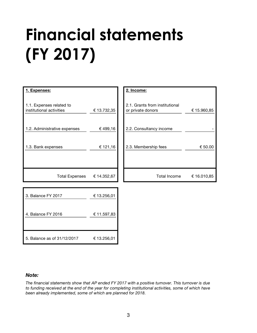# **Financial statements (FY 2017)**



#### *Note:*

*The financial statements show that AP ended FY 2017 with a positive turnover. This turnover is due to funding received at the end of the year for completing institutional activities, some of which have been already implemented, some of which are planned for 2018.*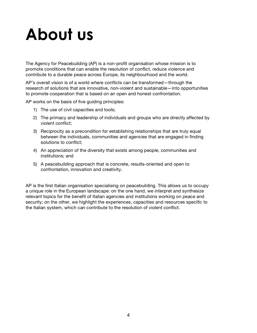## **About us**

The Agency for Peacebuilding (AP) is a non-profit organisation whose mission is to promote conditions that can enable the resolution of conflict, reduce violence and contribute to a durable peace across Europe, its neighbourhood and the world.

AP's overall vision is of a world where conflicts can be transformed—through the research of solutions that are innovative, non-violent and sustainable—into opportunities to promote cooperation that is based on an open and honest confrontation.

AP works on the basis of five guiding principles:

- 1) The use of civil capacities and tools;
- 2) The primacy and leadership of individuals and groups who are directly affected by violent conflict;
- 3) Reciprocity as a precondition for establishing relationships that are truly equal between the individuals, communities and agencies that are engaged in finding solutions to conflict;
- 4) An appreciation of the diversity that exists among people, communities and institutions; and
- 5) A peacebuilding approach that is concrete, results-oriented and open to confrontation, innovation and creativity.

AP is the first Italian organisation specialising on peacebuilding. This allows us to occupy a unique role in the European landscape: on the one hand, we interpret and synthesize relevant topics for the benefit of Italian agencies and institutions working on peace and security; on the other, we highlight the experiences, capacities and resources specific to the Italian system, which can contribute to the resolution of violent conflict.